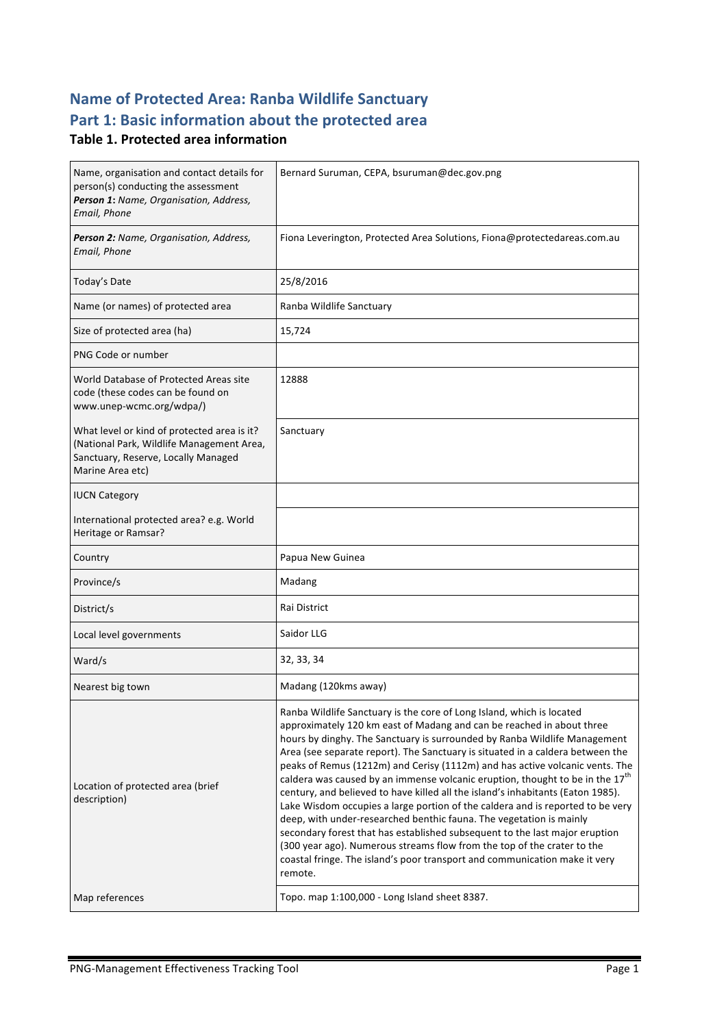# **Name of Protected Area: Ranba Wildlife Sanctuary** Part 1: Basic information about the protected area

### **Table 1. Protected area information**

| Name, organisation and contact details for<br>person(s) conducting the assessment<br>Person 1: Name, Organisation, Address,<br>Email, Phone         | Bernard Suruman, CEPA, bsuruman@dec.gov.png                                                                                                                                                                                                                                                                                                                                                                                                                                                                                                                                                                                                                                                                                                                                                                                                                                                                                                                                        |
|-----------------------------------------------------------------------------------------------------------------------------------------------------|------------------------------------------------------------------------------------------------------------------------------------------------------------------------------------------------------------------------------------------------------------------------------------------------------------------------------------------------------------------------------------------------------------------------------------------------------------------------------------------------------------------------------------------------------------------------------------------------------------------------------------------------------------------------------------------------------------------------------------------------------------------------------------------------------------------------------------------------------------------------------------------------------------------------------------------------------------------------------------|
| Person 2: Name, Organisation, Address,<br>Email, Phone                                                                                              | Fiona Leverington, Protected Area Solutions, Fiona@protectedareas.com.au                                                                                                                                                                                                                                                                                                                                                                                                                                                                                                                                                                                                                                                                                                                                                                                                                                                                                                           |
| Today's Date                                                                                                                                        | 25/8/2016                                                                                                                                                                                                                                                                                                                                                                                                                                                                                                                                                                                                                                                                                                                                                                                                                                                                                                                                                                          |
| Name (or names) of protected area                                                                                                                   | Ranba Wildlife Sanctuary                                                                                                                                                                                                                                                                                                                                                                                                                                                                                                                                                                                                                                                                                                                                                                                                                                                                                                                                                           |
| Size of protected area (ha)                                                                                                                         | 15,724                                                                                                                                                                                                                                                                                                                                                                                                                                                                                                                                                                                                                                                                                                                                                                                                                                                                                                                                                                             |
| PNG Code or number                                                                                                                                  |                                                                                                                                                                                                                                                                                                                                                                                                                                                                                                                                                                                                                                                                                                                                                                                                                                                                                                                                                                                    |
| World Database of Protected Areas site<br>code (these codes can be found on<br>www.unep-wcmc.org/wdpa/)                                             | 12888                                                                                                                                                                                                                                                                                                                                                                                                                                                                                                                                                                                                                                                                                                                                                                                                                                                                                                                                                                              |
| What level or kind of protected area is it?<br>(National Park, Wildlife Management Area,<br>Sanctuary, Reserve, Locally Managed<br>Marine Area etc) | Sanctuary                                                                                                                                                                                                                                                                                                                                                                                                                                                                                                                                                                                                                                                                                                                                                                                                                                                                                                                                                                          |
| <b>IUCN Category</b>                                                                                                                                |                                                                                                                                                                                                                                                                                                                                                                                                                                                                                                                                                                                                                                                                                                                                                                                                                                                                                                                                                                                    |
| International protected area? e.g. World<br>Heritage or Ramsar?                                                                                     |                                                                                                                                                                                                                                                                                                                                                                                                                                                                                                                                                                                                                                                                                                                                                                                                                                                                                                                                                                                    |
| Country                                                                                                                                             | Papua New Guinea                                                                                                                                                                                                                                                                                                                                                                                                                                                                                                                                                                                                                                                                                                                                                                                                                                                                                                                                                                   |
| Province/s                                                                                                                                          | Madang                                                                                                                                                                                                                                                                                                                                                                                                                                                                                                                                                                                                                                                                                                                                                                                                                                                                                                                                                                             |
| District/s                                                                                                                                          | Rai District                                                                                                                                                                                                                                                                                                                                                                                                                                                                                                                                                                                                                                                                                                                                                                                                                                                                                                                                                                       |
| Local level governments                                                                                                                             | Saidor LLG                                                                                                                                                                                                                                                                                                                                                                                                                                                                                                                                                                                                                                                                                                                                                                                                                                                                                                                                                                         |
| Ward/s                                                                                                                                              | 32, 33, 34                                                                                                                                                                                                                                                                                                                                                                                                                                                                                                                                                                                                                                                                                                                                                                                                                                                                                                                                                                         |
| Nearest big town                                                                                                                                    | Madang (120kms away)                                                                                                                                                                                                                                                                                                                                                                                                                                                                                                                                                                                                                                                                                                                                                                                                                                                                                                                                                               |
| Location of protected area (brief<br>description)                                                                                                   | Ranba Wildlife Sanctuary is the core of Long Island, which is located<br>approximately 120 km east of Madang and can be reached in about three<br>hours by dinghy. The Sanctuary is surrounded by Ranba Wildlife Management<br>Area (see separate report). The Sanctuary is situated in a caldera between the<br>peaks of Remus (1212m) and Cerisy (1112m) and has active volcanic vents. The<br>caldera was caused by an immense volcanic eruption, thought to be in the $17^{th}$<br>century, and believed to have killed all the island's inhabitants (Eaton 1985).<br>Lake Wisdom occupies a large portion of the caldera and is reported to be very<br>deep, with under-researched benthic fauna. The vegetation is mainly<br>secondary forest that has established subsequent to the last major eruption<br>(300 year ago). Numerous streams flow from the top of the crater to the<br>coastal fringe. The island's poor transport and communication make it very<br>remote. |
| Map references                                                                                                                                      | Topo. map 1:100,000 - Long Island sheet 8387.                                                                                                                                                                                                                                                                                                                                                                                                                                                                                                                                                                                                                                                                                                                                                                                                                                                                                                                                      |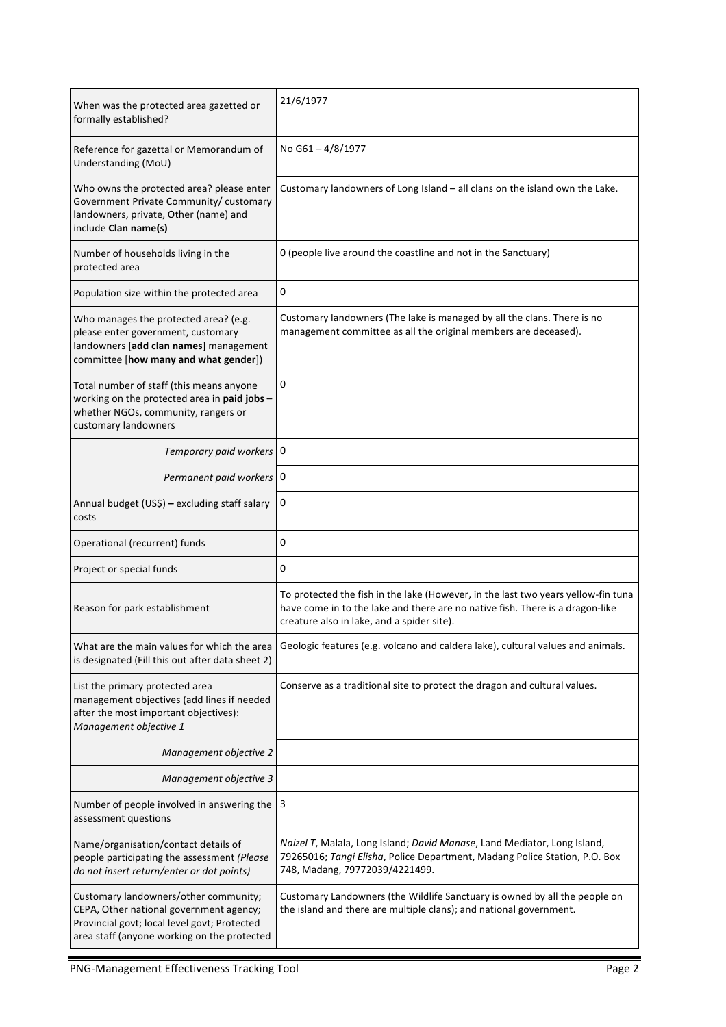| When was the protected area gazetted or<br>formally established?                                                                                                                | 21/6/1977                                                                                                                                                                                                        |
|---------------------------------------------------------------------------------------------------------------------------------------------------------------------------------|------------------------------------------------------------------------------------------------------------------------------------------------------------------------------------------------------------------|
| Reference for gazettal or Memorandum of<br>Understanding (MoU)                                                                                                                  | No G61-4/8/1977                                                                                                                                                                                                  |
| Who owns the protected area? please enter<br>Government Private Community/ customary<br>landowners, private, Other (name) and<br>include Clan name(s)                           | Customary landowners of Long Island - all clans on the island own the Lake.                                                                                                                                      |
| Number of households living in the<br>protected area                                                                                                                            | 0 (people live around the coastline and not in the Sanctuary)                                                                                                                                                    |
| Population size within the protected area                                                                                                                                       | 0                                                                                                                                                                                                                |
| Who manages the protected area? (e.g.<br>please enter government, customary<br>landowners [add clan names] management<br>committee [how many and what gender])                  | Customary landowners (The lake is managed by all the clans. There is no<br>management committee as all the original members are deceased).                                                                       |
| Total number of staff (this means anyone<br>working on the protected area in paid jobs -<br>whether NGOs, community, rangers or<br>customary landowners                         | 0                                                                                                                                                                                                                |
| Temporary paid workers   0                                                                                                                                                      |                                                                                                                                                                                                                  |
| Permanent paid workers 0                                                                                                                                                        |                                                                                                                                                                                                                  |
| Annual budget (US\$) - excluding staff salary<br>costs                                                                                                                          | 0                                                                                                                                                                                                                |
| Operational (recurrent) funds                                                                                                                                                   | 0                                                                                                                                                                                                                |
| Project or special funds                                                                                                                                                        | 0                                                                                                                                                                                                                |
| Reason for park establishment                                                                                                                                                   | To protected the fish in the lake (However, in the last two years yellow-fin tuna<br>have come in to the lake and there are no native fish. There is a dragon-like<br>creature also in lake, and a spider site). |
| What are the main values for which the area<br>is designated (Fill this out after data sheet 2)                                                                                 | Geologic features (e.g. volcano and caldera lake), cultural values and animals.                                                                                                                                  |
| List the primary protected area<br>management objectives (add lines if needed<br>after the most important objectives):<br>Management objective 1                                | Conserve as a traditional site to protect the dragon and cultural values.                                                                                                                                        |
| Management objective 2                                                                                                                                                          |                                                                                                                                                                                                                  |
| Management objective 3                                                                                                                                                          |                                                                                                                                                                                                                  |
| Number of people involved in answering the<br>assessment questions                                                                                                              | 3                                                                                                                                                                                                                |
| Name/organisation/contact details of<br>people participating the assessment (Please<br>do not insert return/enter or dot points)                                                | Naizel T, Malala, Long Island; David Manase, Land Mediator, Long Island,<br>79265016; Tangi Elisha, Police Department, Madang Police Station, P.O. Box<br>748, Madang, 79772039/4221499.                         |
| Customary landowners/other community;<br>CEPA, Other national government agency;<br>Provincial govt; local level govt; Protected<br>area staff (anyone working on the protected | Customary Landowners (the Wildlife Sanctuary is owned by all the people on<br>the island and there are multiple clans); and national government.                                                                 |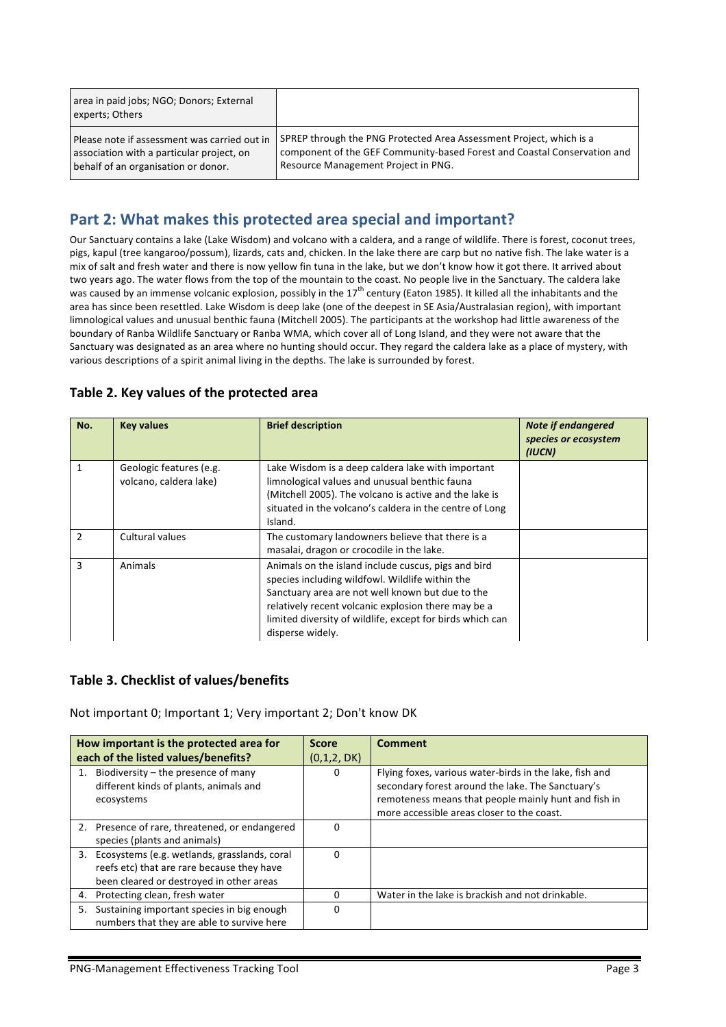| area in paid jobs; NGO; Donors; External<br>experts; Others |                                                                          |
|-------------------------------------------------------------|--------------------------------------------------------------------------|
| Please note if assessment was carried out in                | SPREP through the PNG Protected Area Assessment Project, which is a      |
| association with a particular project, on                   | component of the GEF Community-based Forest and Coastal Conservation and |
| behalf of an organisation or donor.                         | Resource Management Project in PNG.                                      |

## Part 2: What makes this protected area special and important?

Our Sanctuary contains a lake (Lake Wisdom) and volcano with a caldera, and a range of wildlife. There is forest, coconut trees, pigs, kapul (tree kangaroo/possum), lizards, cats and, chicken. In the lake there are carp but no native fish. The lake water is a mix of salt and fresh water and there is now yellow fin tuna in the lake, but we don't know how it got there. It arrived about two years ago. The water flows from the top of the mountain to the coast. No people live in the Sanctuary. The caldera lake was caused by an immense volcanic explosion, possibly in the 17<sup>th</sup> century (Eaton 1985). It killed all the inhabitants and the area has since been resettled. Lake Wisdom is deep lake (one of the deepest in SE Asia/Australasian region), with important limnological values and unusual benthic fauna (Mitchell 2005). The participants at the workshop had little awareness of the boundary of Ranba Wildlife Sanctuary or Ranba WMA, which cover all of Long Island, and they were not aware that the Sanctuary was designated as an area where no hunting should occur. They regard the caldera lake as a place of mystery, with various descriptions of a spirit animal living in the depths. The lake is surrounded by forest.

| No.           | <b>Key values</b>                                 | <b>Brief description</b>                                                                                                                                                                                                                                                                           | <b>Note if endangered</b><br>species or ecosystem<br>(IUCN) |
|---------------|---------------------------------------------------|----------------------------------------------------------------------------------------------------------------------------------------------------------------------------------------------------------------------------------------------------------------------------------------------------|-------------------------------------------------------------|
|               | Geologic features (e.g.<br>volcano, caldera lake) | Lake Wisdom is a deep caldera lake with important<br>limnological values and unusual benthic fauna<br>(Mitchell 2005). The volcano is active and the lake is<br>situated in the volcano's caldera in the centre of Long<br>Island.                                                                 |                                                             |
| $\mathcal{P}$ | Cultural values                                   | The customary landowners believe that there is a<br>masalai, dragon or crocodile in the lake.                                                                                                                                                                                                      |                                                             |
| 3             | Animals                                           | Animals on the island include cuscus, pigs and bird<br>species including wildfowl. Wildlife within the<br>Sanctuary area are not well known but due to the<br>relatively recent volcanic explosion there may be a<br>limited diversity of wildlife, except for birds which can<br>disperse widely. |                                                             |

### Table 2. Key values of the protected area

### Table 3. Checklist of values/benefits

Not important 0; Important 1; Very important 2; Don't know DK

|    | How important is the protected area for                                                                                                | <b>Score</b> | <b>Comment</b>                                                                                                                                                                                                     |
|----|----------------------------------------------------------------------------------------------------------------------------------------|--------------|--------------------------------------------------------------------------------------------------------------------------------------------------------------------------------------------------------------------|
|    | each of the listed values/benefits?                                                                                                    | (0,1,2, DK)  |                                                                                                                                                                                                                    |
|    | Biodiversity – the presence of many<br>different kinds of plants, animals and<br>ecosystems                                            | 0            | Flying foxes, various water-birds in the lake, fish and<br>secondary forest around the lake. The Sanctuary's<br>remoteness means that people mainly hunt and fish in<br>more accessible areas closer to the coast. |
|    | 2. Presence of rare, threatened, or endangered<br>species (plants and animals)                                                         | 0            |                                                                                                                                                                                                                    |
| 3. | Ecosystems (e.g. wetlands, grasslands, coral<br>reefs etc) that are rare because they have<br>been cleared or destroyed in other areas | 0            |                                                                                                                                                                                                                    |
| 4. | Protecting clean, fresh water                                                                                                          | 0            | Water in the lake is brackish and not drinkable.                                                                                                                                                                   |
| 5. | Sustaining important species in big enough<br>numbers that they are able to survive here                                               | 0            |                                                                                                                                                                                                                    |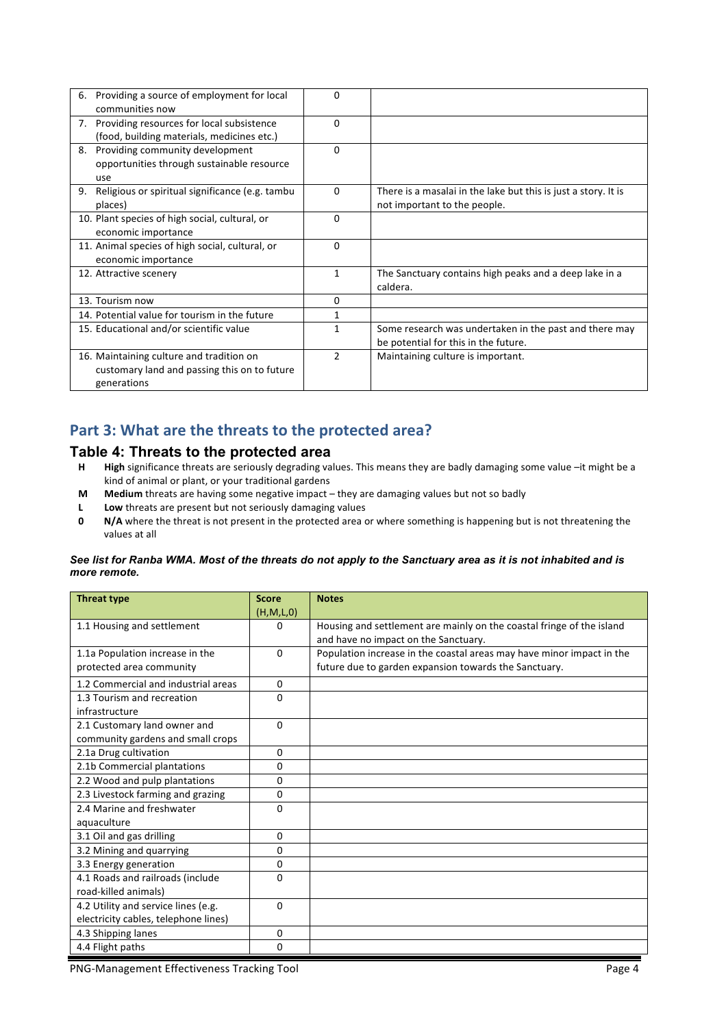| 6. | Providing a source of employment for local      | $\Omega$       |                                                                |
|----|-------------------------------------------------|----------------|----------------------------------------------------------------|
|    | communities now                                 |                |                                                                |
|    | 7. Providing resources for local subsistence    | $\Omega$       |                                                                |
|    | (food, building materials, medicines etc.)      |                |                                                                |
| 8. | Providing community development                 | $\Omega$       |                                                                |
|    | opportunities through sustainable resource      |                |                                                                |
|    | use                                             |                |                                                                |
| 9. | Religious or spiritual significance (e.g. tambu | $\Omega$       | There is a masalai in the lake but this is just a story. It is |
|    | places)                                         |                | not important to the people.                                   |
|    | 10. Plant species of high social, cultural, or  | $\Omega$       |                                                                |
|    | economic importance                             |                |                                                                |
|    | 11. Animal species of high social, cultural, or | $\Omega$       |                                                                |
|    | economic importance                             |                |                                                                |
|    | 12. Attractive scenery                          | 1              | The Sanctuary contains high peaks and a deep lake in a         |
|    |                                                 |                | caldera.                                                       |
|    | 13. Tourism now                                 | $\Omega$       |                                                                |
|    | 14. Potential value for tourism in the future   | 1              |                                                                |
|    | 15. Educational and/or scientific value         | 1              | Some research was undertaken in the past and there may         |
|    |                                                 |                | be potential for this in the future.                           |
|    | 16. Maintaining culture and tradition on        | $\overline{2}$ | Maintaining culture is important.                              |
|    | customary land and passing this on to future    |                |                                                                |
|    | generations                                     |                |                                                                |

### Part 3: What are the threats to the protected area?

### **Table 4: Threats to the protected area**

- H **High** significance threats are seriously degrading values. This means they are badly damaging some value -it might be a kind of animal or plant, or your traditional gardens
- **M** Medium threats are having some negative impact they are damaging values but not so badly
- **L Low** threats are present but not seriously damaging values
- **0 N/A** where the threat is not present in the protected area or where something is happening but is not threatening the values at all

#### *See list for Ranba WMA. Most of the threats do not apply to the Sanctuary area as it is not inhabited and is more remote.*

| <b>Threat type</b>                   | <b>Score</b> | <b>Notes</b>                                                          |
|--------------------------------------|--------------|-----------------------------------------------------------------------|
|                                      | (H, M, L, 0) |                                                                       |
| 1.1 Housing and settlement           | 0            | Housing and settlement are mainly on the coastal fringe of the island |
|                                      |              | and have no impact on the Sanctuary.                                  |
| 1.1a Population increase in the      | $\Omega$     | Population increase in the coastal areas may have minor impact in the |
| protected area community             |              | future due to garden expansion towards the Sanctuary.                 |
| 1.2 Commercial and industrial areas  | 0            |                                                                       |
| 1.3 Tourism and recreation           | 0            |                                                                       |
| infrastructure                       |              |                                                                       |
| 2.1 Customary land owner and         | 0            |                                                                       |
| community gardens and small crops    |              |                                                                       |
| 2.1a Drug cultivation                | 0            |                                                                       |
| 2.1b Commercial plantations          | 0            |                                                                       |
| 2.2 Wood and pulp plantations        | 0            |                                                                       |
| 2.3 Livestock farming and grazing    | $\Omega$     |                                                                       |
| 2.4 Marine and freshwater            | 0            |                                                                       |
| aquaculture                          |              |                                                                       |
| 3.1 Oil and gas drilling             | $\Omega$     |                                                                       |
| 3.2 Mining and quarrying             | 0            |                                                                       |
| 3.3 Energy generation                | 0            |                                                                       |
| 4.1 Roads and railroads (include     | $\Omega$     |                                                                       |
| road-killed animals)                 |              |                                                                       |
| 4.2 Utility and service lines (e.g.  | $\Omega$     |                                                                       |
| electricity cables, telephone lines) |              |                                                                       |
| 4.3 Shipping lanes                   | 0            |                                                                       |
| 4.4 Flight paths                     | 0            |                                                                       |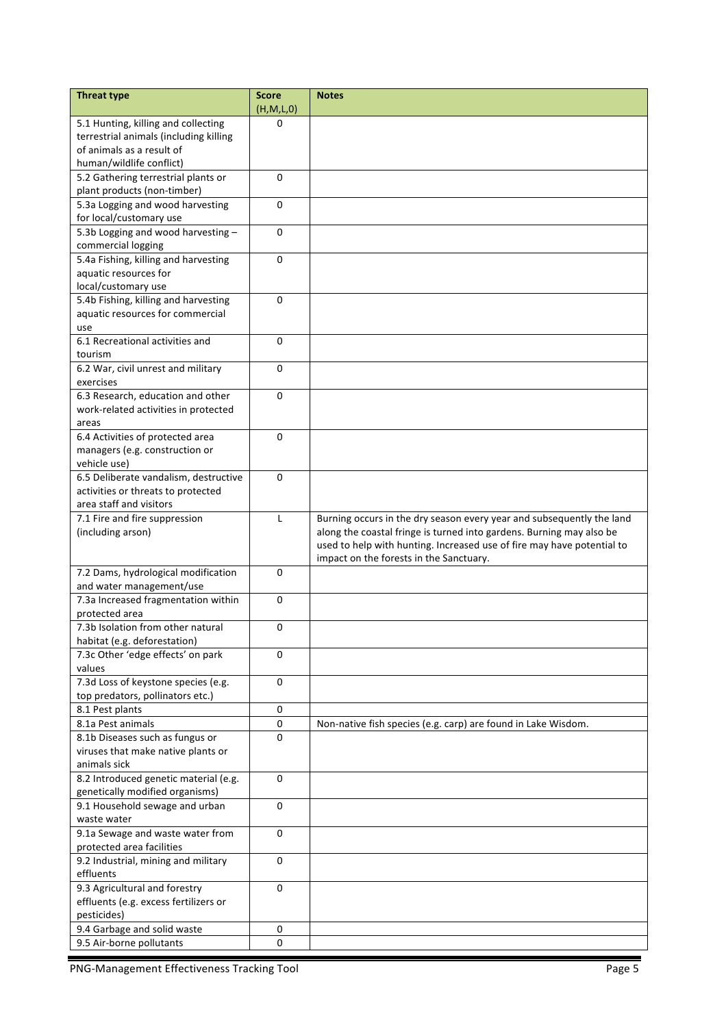| <b>Threat type</b>                                                            | <b>Score</b>          | <b>Notes</b>                                                                                                                                   |
|-------------------------------------------------------------------------------|-----------------------|------------------------------------------------------------------------------------------------------------------------------------------------|
|                                                                               | (H,M,L,0)<br>$\Omega$ |                                                                                                                                                |
| 5.1 Hunting, killing and collecting<br>terrestrial animals (including killing |                       |                                                                                                                                                |
| of animals as a result of                                                     |                       |                                                                                                                                                |
| human/wildlife conflict)                                                      |                       |                                                                                                                                                |
| 5.2 Gathering terrestrial plants or                                           | 0                     |                                                                                                                                                |
| plant products (non-timber)                                                   |                       |                                                                                                                                                |
| 5.3a Logging and wood harvesting                                              | $\mathbf 0$           |                                                                                                                                                |
| for local/customary use                                                       |                       |                                                                                                                                                |
| 5.3b Logging and wood harvesting -                                            | 0                     |                                                                                                                                                |
| commercial logging                                                            |                       |                                                                                                                                                |
| 5.4a Fishing, killing and harvesting                                          | $\mathbf 0$           |                                                                                                                                                |
| aquatic resources for                                                         |                       |                                                                                                                                                |
| local/customary use                                                           |                       |                                                                                                                                                |
| 5.4b Fishing, killing and harvesting                                          | 0                     |                                                                                                                                                |
| aquatic resources for commercial                                              |                       |                                                                                                                                                |
| use                                                                           |                       |                                                                                                                                                |
| 6.1 Recreational activities and                                               | 0                     |                                                                                                                                                |
| tourism                                                                       |                       |                                                                                                                                                |
| 6.2 War, civil unrest and military                                            | 0                     |                                                                                                                                                |
| exercises                                                                     |                       |                                                                                                                                                |
| 6.3 Research, education and other                                             | 0                     |                                                                                                                                                |
| work-related activities in protected                                          |                       |                                                                                                                                                |
| areas                                                                         |                       |                                                                                                                                                |
| 6.4 Activities of protected area                                              | $\Omega$              |                                                                                                                                                |
| managers (e.g. construction or                                                |                       |                                                                                                                                                |
| vehicle use)                                                                  |                       |                                                                                                                                                |
| 6.5 Deliberate vandalism, destructive                                         | 0                     |                                                                                                                                                |
| activities or threats to protected                                            |                       |                                                                                                                                                |
| area staff and visitors                                                       |                       |                                                                                                                                                |
| 7.1 Fire and fire suppression                                                 | $\mathsf{L}$          | Burning occurs in the dry season every year and subsequently the land                                                                          |
| (including arson)                                                             |                       | along the coastal fringe is turned into gardens. Burning may also be<br>used to help with hunting. Increased use of fire may have potential to |
|                                                                               |                       | impact on the forests in the Sanctuary.                                                                                                        |
| 7.2 Dams, hydrological modification                                           | $\pmb{0}$             |                                                                                                                                                |
| and water management/use                                                      |                       |                                                                                                                                                |
| 7.3a Increased fragmentation within                                           | 0                     |                                                                                                                                                |
| protected area                                                                |                       |                                                                                                                                                |
| 7.3b Isolation from other natural                                             | 0                     |                                                                                                                                                |
| habitat (e.g. deforestation)                                                  |                       |                                                                                                                                                |
| 7.3c Other 'edge effects' on park                                             | $\mathbf 0$           |                                                                                                                                                |
| values                                                                        |                       |                                                                                                                                                |
| 7.3d Loss of keystone species (e.g.                                           | $\pmb{0}$             |                                                                                                                                                |
| top predators, pollinators etc.)                                              |                       |                                                                                                                                                |
| 8.1 Pest plants                                                               | $\pmb{0}$             |                                                                                                                                                |
| 8.1a Pest animals                                                             | $\pmb{0}$             | Non-native fish species (e.g. carp) are found in Lake Wisdom.                                                                                  |
| 8.1b Diseases such as fungus or                                               | $\Omega$              |                                                                                                                                                |
| viruses that make native plants or                                            |                       |                                                                                                                                                |
| animals sick                                                                  |                       |                                                                                                                                                |
| 8.2 Introduced genetic material (e.g.                                         | $\Omega$              |                                                                                                                                                |
| genetically modified organisms)                                               |                       |                                                                                                                                                |
| 9.1 Household sewage and urban                                                | 0                     |                                                                                                                                                |
| waste water                                                                   |                       |                                                                                                                                                |
| 9.1a Sewage and waste water from                                              | 0                     |                                                                                                                                                |
| protected area facilities                                                     |                       |                                                                                                                                                |
| 9.2 Industrial, mining and military                                           | 0                     |                                                                                                                                                |
| effluents<br>9.3 Agricultural and forestry                                    | 0                     |                                                                                                                                                |
| effluents (e.g. excess fertilizers or                                         |                       |                                                                                                                                                |
| pesticides)                                                                   |                       |                                                                                                                                                |
| 9.4 Garbage and solid waste                                                   | 0                     |                                                                                                                                                |
| 9.5 Air-borne pollutants                                                      | 0                     |                                                                                                                                                |
|                                                                               |                       |                                                                                                                                                |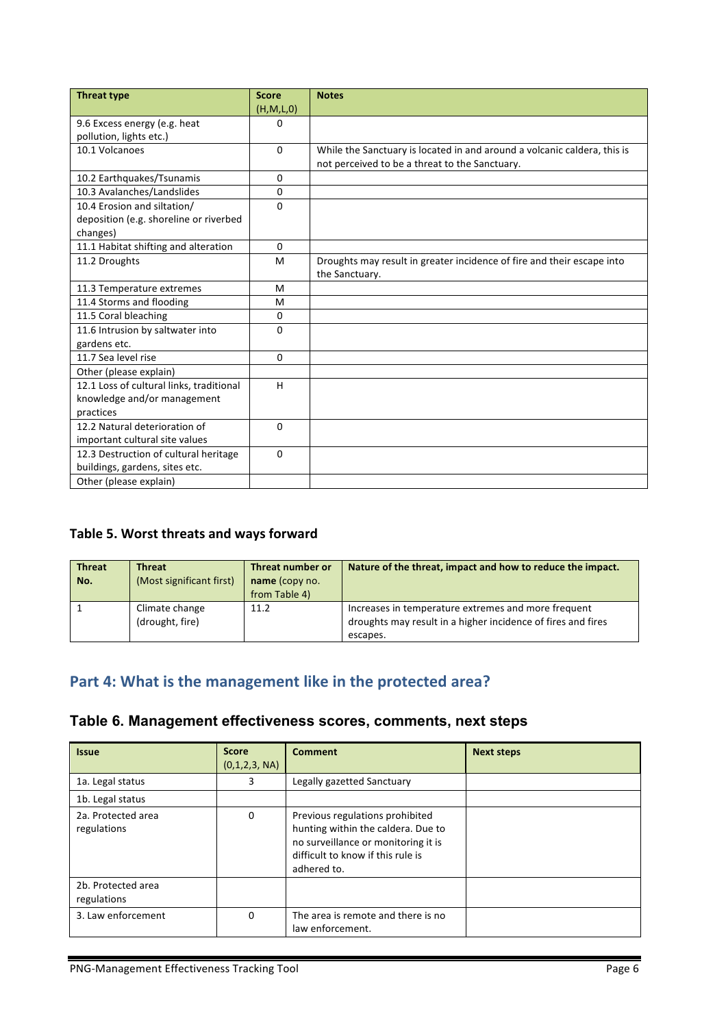| <b>Threat type</b>                       | <b>Score</b> | <b>Notes</b>                                                             |
|------------------------------------------|--------------|--------------------------------------------------------------------------|
|                                          | (H,M,L,0)    |                                                                          |
| 9.6 Excess energy (e.g. heat             | $\Omega$     |                                                                          |
| pollution, lights etc.)                  |              |                                                                          |
| 10.1 Volcanoes                           | $\mathbf{0}$ | While the Sanctuary is located in and around a volcanic caldera, this is |
|                                          |              | not perceived to be a threat to the Sanctuary.                           |
| 10.2 Earthquakes/Tsunamis                | $\mathbf{0}$ |                                                                          |
| 10.3 Avalanches/Landslides               | $\mathbf{0}$ |                                                                          |
| 10.4 Erosion and siltation/              | $\Omega$     |                                                                          |
| deposition (e.g. shoreline or riverbed   |              |                                                                          |
| changes)                                 |              |                                                                          |
| 11.1 Habitat shifting and alteration     | $\Omega$     |                                                                          |
| 11.2 Droughts                            | M            | Droughts may result in greater incidence of fire and their escape into   |
|                                          |              | the Sanctuary.                                                           |
| 11.3 Temperature extremes                | M            |                                                                          |
| 11.4 Storms and flooding                 | M            |                                                                          |
| 11.5 Coral bleaching                     | $\mathbf{0}$ |                                                                          |
| 11.6 Intrusion by saltwater into         | $\Omega$     |                                                                          |
| gardens etc.                             |              |                                                                          |
| 11.7 Sea level rise                      | $\mathbf{0}$ |                                                                          |
| Other (please explain)                   |              |                                                                          |
| 12.1 Loss of cultural links, traditional | H            |                                                                          |
| knowledge and/or management              |              |                                                                          |
| practices                                |              |                                                                          |
| 12.2 Natural deterioration of            | $\Omega$     |                                                                          |
| important cultural site values           |              |                                                                          |
| 12.3 Destruction of cultural heritage    | $\Omega$     |                                                                          |
| buildings, gardens, sites etc.           |              |                                                                          |
| Other (please explain)                   |              |                                                                          |

### Table 5. Worst threats and ways forward

| <b>Threat</b><br>No. | <b>Threat</b><br>(Most significant first) | Threat number or<br>name (copy no.<br>from Table 4) | Nature of the threat, impact and how to reduce the impact.                                                                      |
|----------------------|-------------------------------------------|-----------------------------------------------------|---------------------------------------------------------------------------------------------------------------------------------|
|                      | Climate change<br>(drought, fire)         | 11.2                                                | Increases in temperature extremes and more frequent<br>droughts may result in a higher incidence of fires and fires<br>escapes. |

# Part 4: What is the management like in the protected area?

## **Table 6. Management effectiveness scores, comments, next steps**

| <b>Issue</b>                      | <b>Score</b><br>(0,1,2,3, NA) | <b>Comment</b>                                                                                                                                                   | <b>Next steps</b> |
|-----------------------------------|-------------------------------|------------------------------------------------------------------------------------------------------------------------------------------------------------------|-------------------|
| 1a. Legal status                  | 3                             | Legally gazetted Sanctuary                                                                                                                                       |                   |
| 1b. Legal status                  |                               |                                                                                                                                                                  |                   |
| 2a. Protected area<br>regulations | $\mathbf{0}$                  | Previous regulations prohibited<br>hunting within the caldera. Due to<br>no surveillance or monitoring it is<br>difficult to know if this rule is<br>adhered to. |                   |
| 2b. Protected area<br>regulations |                               |                                                                                                                                                                  |                   |
| 3. Law enforcement                | $\Omega$                      | The area is remote and there is no<br>law enforcement.                                                                                                           |                   |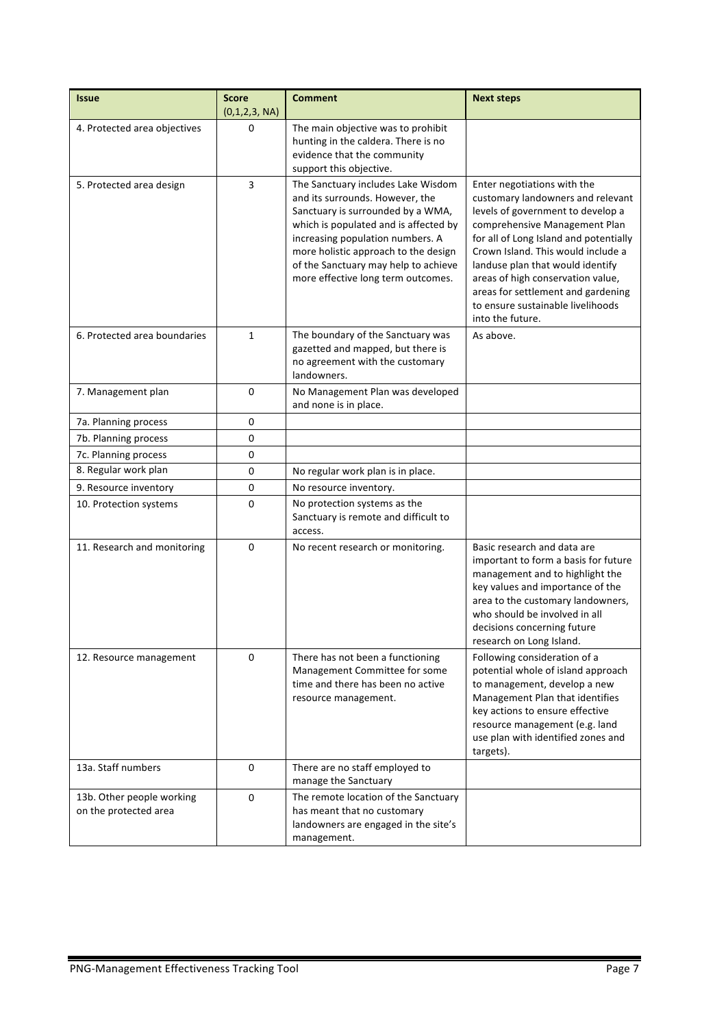| <b>Issue</b>                                       | <b>Score</b><br>(0,1,2,3, NA) | <b>Comment</b>                                                                                                                                                                                                                                                                                                | <b>Next steps</b>                                                                                                                                                                                                                                                                                                                                                                              |
|----------------------------------------------------|-------------------------------|---------------------------------------------------------------------------------------------------------------------------------------------------------------------------------------------------------------------------------------------------------------------------------------------------------------|------------------------------------------------------------------------------------------------------------------------------------------------------------------------------------------------------------------------------------------------------------------------------------------------------------------------------------------------------------------------------------------------|
| 4. Protected area objectives                       | 0                             | The main objective was to prohibit<br>hunting in the caldera. There is no<br>evidence that the community<br>support this objective.                                                                                                                                                                           |                                                                                                                                                                                                                                                                                                                                                                                                |
| 5. Protected area design                           | 3                             | The Sanctuary includes Lake Wisdom<br>and its surrounds. However, the<br>Sanctuary is surrounded by a WMA,<br>which is populated and is affected by<br>increasing population numbers. A<br>more holistic approach to the design<br>of the Sanctuary may help to achieve<br>more effective long term outcomes. | Enter negotiations with the<br>customary landowners and relevant<br>levels of government to develop a<br>comprehensive Management Plan<br>for all of Long Island and potentially<br>Crown Island. This would include a<br>landuse plan that would identify<br>areas of high conservation value,<br>areas for settlement and gardening<br>to ensure sustainable livelihoods<br>into the future. |
| 6. Protected area boundaries                       | $\mathbf{1}$                  | The boundary of the Sanctuary was<br>gazetted and mapped, but there is<br>no agreement with the customary<br>landowners.                                                                                                                                                                                      | As above.                                                                                                                                                                                                                                                                                                                                                                                      |
| 7. Management plan                                 | 0                             | No Management Plan was developed<br>and none is in place.                                                                                                                                                                                                                                                     |                                                                                                                                                                                                                                                                                                                                                                                                |
| 7a. Planning process                               | 0                             |                                                                                                                                                                                                                                                                                                               |                                                                                                                                                                                                                                                                                                                                                                                                |
| 7b. Planning process                               | 0                             |                                                                                                                                                                                                                                                                                                               |                                                                                                                                                                                                                                                                                                                                                                                                |
| 7c. Planning process                               | 0                             |                                                                                                                                                                                                                                                                                                               |                                                                                                                                                                                                                                                                                                                                                                                                |
| 8. Regular work plan                               | 0                             | No regular work plan is in place.                                                                                                                                                                                                                                                                             |                                                                                                                                                                                                                                                                                                                                                                                                |
| 9. Resource inventory                              | 0                             | No resource inventory.                                                                                                                                                                                                                                                                                        |                                                                                                                                                                                                                                                                                                                                                                                                |
| 10. Protection systems                             | 0                             | No protection systems as the<br>Sanctuary is remote and difficult to<br>access.                                                                                                                                                                                                                               |                                                                                                                                                                                                                                                                                                                                                                                                |
| 11. Research and monitoring                        | 0                             | No recent research or monitoring.                                                                                                                                                                                                                                                                             | Basic research and data are<br>important to form a basis for future<br>management and to highlight the<br>key values and importance of the<br>area to the customary landowners,<br>who should be involved in all<br>decisions concerning future<br>research on Long Island.                                                                                                                    |
| 12. Resource management                            | 0                             | There has not been a functioning<br>Management Committee for some<br>time and there has been no active<br>resource management.                                                                                                                                                                                | Following consideration of a<br>potential whole of island approach<br>to management, develop a new<br>Management Plan that identifies<br>key actions to ensure effective<br>resource management (e.g. land<br>use plan with identified zones and<br>targets).                                                                                                                                  |
| 13a. Staff numbers                                 | 0                             | There are no staff employed to<br>manage the Sanctuary                                                                                                                                                                                                                                                        |                                                                                                                                                                                                                                                                                                                                                                                                |
| 13b. Other people working<br>on the protected area | 0                             | The remote location of the Sanctuary<br>has meant that no customary<br>landowners are engaged in the site's<br>management.                                                                                                                                                                                    |                                                                                                                                                                                                                                                                                                                                                                                                |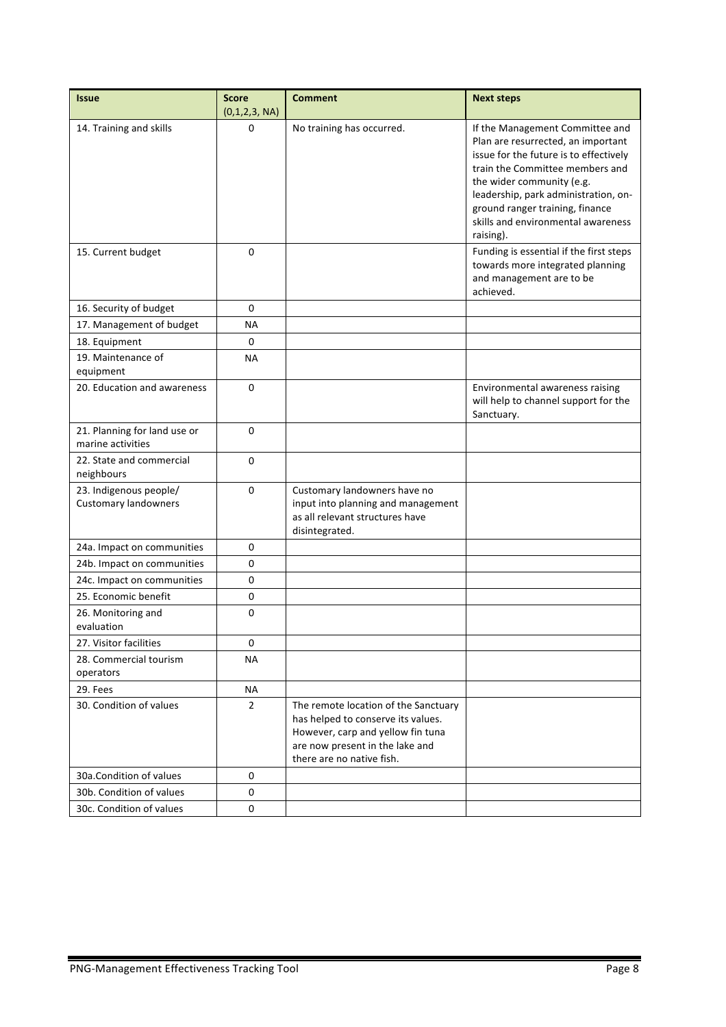| <b>Issue</b>                                          | <b>Score</b>       | <b>Comment</b>                                                                                                                                                                  | <b>Next steps</b>                                                                                                                                                                                                                                             |
|-------------------------------------------------------|--------------------|---------------------------------------------------------------------------------------------------------------------------------------------------------------------------------|---------------------------------------------------------------------------------------------------------------------------------------------------------------------------------------------------------------------------------------------------------------|
| 14. Training and skills                               | (0,1,2,3, NA)<br>0 | No training has occurred.                                                                                                                                                       | If the Management Committee and                                                                                                                                                                                                                               |
|                                                       |                    |                                                                                                                                                                                 | Plan are resurrected, an important<br>issue for the future is to effectively<br>train the Committee members and<br>the wider community (e.g.<br>leadership, park administration, on-<br>ground ranger training, finance<br>skills and environmental awareness |
|                                                       |                    |                                                                                                                                                                                 | raising).                                                                                                                                                                                                                                                     |
| 15. Current budget                                    | $\Omega$           |                                                                                                                                                                                 | Funding is essential if the first steps<br>towards more integrated planning<br>and management are to be<br>achieved.                                                                                                                                          |
| 16. Security of budget                                | 0                  |                                                                                                                                                                                 |                                                                                                                                                                                                                                                               |
| 17. Management of budget                              | ΝA                 |                                                                                                                                                                                 |                                                                                                                                                                                                                                                               |
| 18. Equipment                                         | 0                  |                                                                                                                                                                                 |                                                                                                                                                                                                                                                               |
| 19. Maintenance of<br>equipment                       | <b>NA</b>          |                                                                                                                                                                                 |                                                                                                                                                                                                                                                               |
| 20. Education and awareness                           | $\Omega$           |                                                                                                                                                                                 | Environmental awareness raising<br>will help to channel support for the<br>Sanctuary.                                                                                                                                                                         |
| 21. Planning for land use or<br>marine activities     | $\Omega$           |                                                                                                                                                                                 |                                                                                                                                                                                                                                                               |
| 22. State and commercial<br>neighbours                | 0                  |                                                                                                                                                                                 |                                                                                                                                                                                                                                                               |
| 23. Indigenous people/<br><b>Customary landowners</b> | $\Omega$           | Customary landowners have no<br>input into planning and management<br>as all relevant structures have<br>disintegrated.                                                         |                                                                                                                                                                                                                                                               |
| 24a. Impact on communities                            | 0                  |                                                                                                                                                                                 |                                                                                                                                                                                                                                                               |
| 24b. Impact on communities                            | 0                  |                                                                                                                                                                                 |                                                                                                                                                                                                                                                               |
| 24c. Impact on communities                            | 0                  |                                                                                                                                                                                 |                                                                                                                                                                                                                                                               |
| 25. Economic benefit                                  | $\mathbf 0$        |                                                                                                                                                                                 |                                                                                                                                                                                                                                                               |
| 26. Monitoring and<br>evaluation                      | 0                  |                                                                                                                                                                                 |                                                                                                                                                                                                                                                               |
| 27. Visitor facilities                                | 0                  |                                                                                                                                                                                 |                                                                                                                                                                                                                                                               |
| 28. Commercial tourism<br>operators                   | ΝA                 |                                                                                                                                                                                 |                                                                                                                                                                                                                                                               |
| 29. Fees                                              | ΝA                 |                                                                                                                                                                                 |                                                                                                                                                                                                                                                               |
| 30. Condition of values                               | $\overline{2}$     | The remote location of the Sanctuary<br>has helped to conserve its values.<br>However, carp and yellow fin tuna<br>are now present in the lake and<br>there are no native fish. |                                                                                                                                                                                                                                                               |
| 30a. Condition of values                              | $\Omega$           |                                                                                                                                                                                 |                                                                                                                                                                                                                                                               |
| 30b. Condition of values                              | 0                  |                                                                                                                                                                                 |                                                                                                                                                                                                                                                               |
| 30c. Condition of values                              | 0                  |                                                                                                                                                                                 |                                                                                                                                                                                                                                                               |